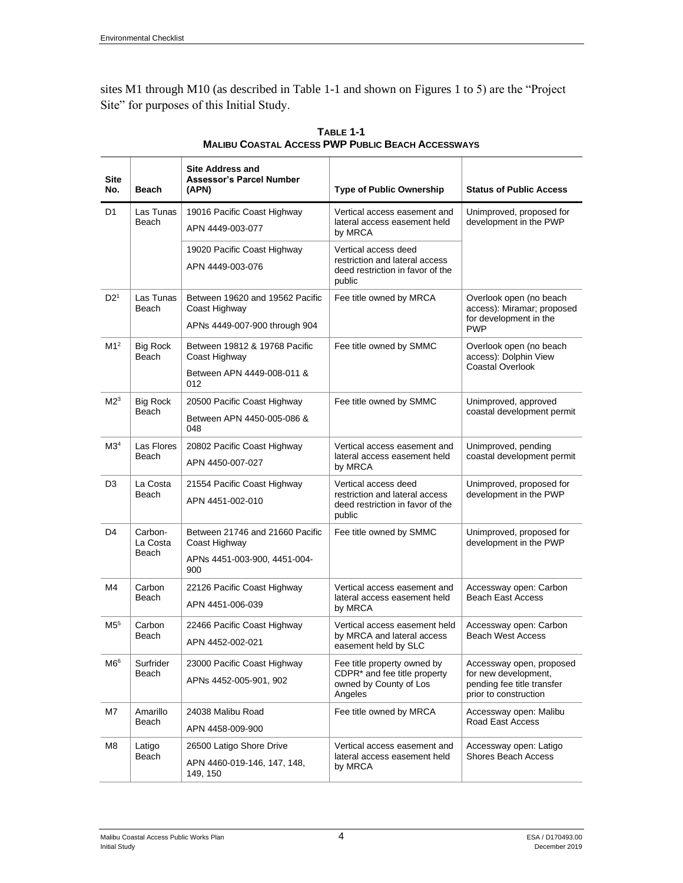sites M1 through M10 (as described in Table 1-1 and shown on Figures 1 to 5) are the "Project Site" for purposes of this Initial Study.

| <b>Site</b><br>No. | Beach                        | <b>Site Address and</b><br><b>Assessor's Parcel Number</b><br>(APN) | <b>Type of Public Ownership</b>                                                                              | <b>Status of Public Access</b>                                                                          |
|--------------------|------------------------------|---------------------------------------------------------------------|--------------------------------------------------------------------------------------------------------------|---------------------------------------------------------------------------------------------------------|
| D <sub>1</sub>     | Las Tunas<br>Beach           | 19016 Pacific Coast Highway                                         | Vertical access easement and<br>lateral access easement held<br>by MRCA                                      | Unimproved, proposed for<br>development in the PWP                                                      |
|                    |                              | APN 4449-003-077                                                    |                                                                                                              |                                                                                                         |
|                    |                              | 19020 Pacific Coast Highway                                         | Vertical access deed                                                                                         |                                                                                                         |
|                    |                              | APN 4449-003-076                                                    | restriction and lateral access<br>deed restriction in favor of the<br>public                                 |                                                                                                         |
| D2 <sup>1</sup>    | Las Tunas<br>Beach           | Between 19620 and 19562 Pacific<br>Coast Highway                    | Fee title owned by MRCA                                                                                      | Overlook open (no beach<br>access): Miramar; proposed<br>for development in the<br><b>PWP</b>           |
|                    |                              | APNs 4449-007-900 through 904                                       |                                                                                                              |                                                                                                         |
| M1 <sup>2</sup>    | <b>Big Rock</b><br>Beach     | Between 19812 & 19768 Pacific<br>Coast Highway                      | Fee title owned by SMMC                                                                                      | Overlook open (no beach<br>access): Dolphin View<br>Coastal Overlook                                    |
|                    |                              | Between APN 4449-008-011 &<br>012                                   |                                                                                                              |                                                                                                         |
| M2 <sup>3</sup>    | <b>Big Rock</b><br>Beach     | 20500 Pacific Coast Highway                                         | Fee title owned by SMMC                                                                                      | Unimproved, approved<br>coastal development permit                                                      |
|                    |                              | Between APN 4450-005-086 &<br>048                                   |                                                                                                              |                                                                                                         |
| M3 <sup>4</sup>    | Las Flores<br>Beach          | 20802 Pacific Coast Highway                                         | Vertical access easement and<br>lateral access easement held<br>by MRCA                                      | Unimproved, pending<br>coastal development permit                                                       |
|                    |                              | APN 4450-007-027                                                    |                                                                                                              |                                                                                                         |
| D <sub>3</sub>     | La Costa<br>Beach            | 21554 Pacific Coast Highway                                         | Vertical access deed<br>restriction and lateral access<br>deed restriction in favor of the<br>public         | Unimproved, proposed for<br>development in the PWP                                                      |
|                    |                              | APN 4451-002-010                                                    |                                                                                                              |                                                                                                         |
| D4                 | Carbon-<br>La Costa<br>Beach | Between 21746 and 21660 Pacific<br>Coast Highway                    | Fee title owned by SMMC                                                                                      | Unimproved, proposed for<br>development in the PWP                                                      |
|                    |                              | APNs 4451-003-900, 4451-004-<br>900                                 |                                                                                                              |                                                                                                         |
| M4                 | Carbon<br>Beach              | 22126 Pacific Coast Highway                                         | Vertical access easement and<br>lateral access easement held<br>by MRCA                                      | Accessway open: Carbon<br><b>Beach East Access</b>                                                      |
|                    |                              | APN 4451-006-039                                                    |                                                                                                              |                                                                                                         |
| M5 <sup>5</sup>    | Carbon<br>Beach              | 22466 Pacific Coast Highway                                         | Vertical access easement held<br>by MRCA and lateral access<br>easement held by SLC                          | Accessway open: Carbon<br><b>Beach West Access</b>                                                      |
|                    |                              | APN 4452-002-021                                                    |                                                                                                              |                                                                                                         |
| $\rm M6^6$         | Surfrider<br>Beach           | 23000 Pacific Coast Highway                                         | Fee title property owned by<br>CDPR <sup>*</sup> and fee title property<br>owned by County of Los<br>Angeles | Accessway open, proposed<br>for new development,<br>pending fee title transfer<br>prior to construction |
|                    |                              | APNs 4452-005-901, 902                                              |                                                                                                              |                                                                                                         |
| M7                 | Amarillo<br>Beach            | 24038 Malibu Road                                                   | Fee title owned by MRCA                                                                                      | Accessway open: Malibu<br>Road East Access                                                              |
|                    |                              | APN 4458-009-900                                                    |                                                                                                              |                                                                                                         |
| M8                 | Latigo<br>Beach              | 26500 Latigo Shore Drive                                            | Vertical access easement and<br>lateral access easement held<br>by MRCA                                      | Accessway open: Latigo<br><b>Shores Beach Access</b>                                                    |
|                    |                              | APN 4460-019-146, 147, 148,<br>149, 150                             |                                                                                                              |                                                                                                         |

**TABLE 1-1 MALIBU COASTAL ACCESS PWP PUBLIC BEACH ACCESSWAYS**